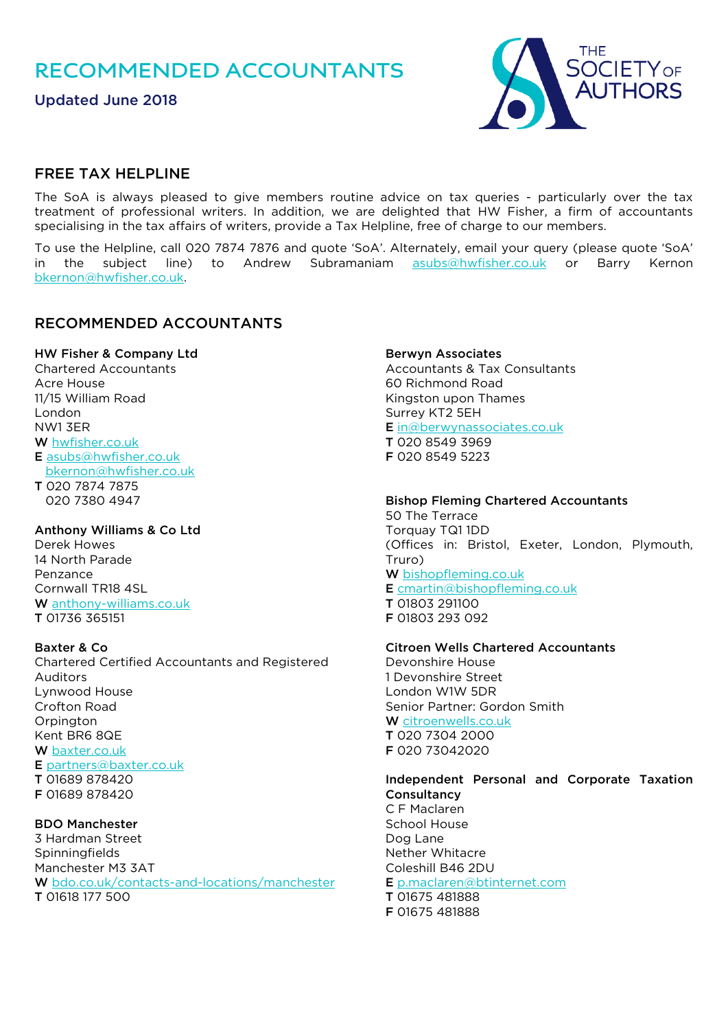# **RECOMMENDED ACCOUNTANTS**

Updated June 2018



# FREE TAX HELPLINE

The SoA is always pleased to give members routine advice on tax queries - particularly over the tax treatment of professional writers. In addition, we are delighted that HW Fisher, a firm of accountants specialising in the tax affairs of writers, provide a Tax Helpline, free of charge to our members.

To use the Helpline, call 020 7874 7876 and quote 'SoA'. Alternately, email your query (please quote 'SoA' in the subject line) to Andrew Subramaniam [asubs@hwfisher.co.uk](mailto:asubs@hwfisher.co.uk) or Barry Kernon [bkernon@hwfisher.co.uk.](mailto:bkernon@hwfisher.co.uk) 

# RECOMMENDED ACCOUNTANTS

## HW Fisher & Company Ltd

Chartered Accountants Acre House 11/15 William Road London NW1 3ER W [hwfisher.co.uk](http://www.hwfisher.co.uk/) E [asubs@hwfisher.co.uk](mailto:asubs@hwfisher.co.uk)  [bkernon@hwfisher.co.uk](mailto:bkernon@hwfisher.co.uk)  T 020 7874 7875 020 7380 4947

# Anthony Williams & Co Ltd

Derek Howes 14 North Parade Penzance Cornwall TR18 4SL W [anthony-williams.co.uk](http://www.anthony-williams.co.uk/)  T 01736 365151

#### Baxter & Co

Chartered Certified Accountants and Registered Auditors Lynwood House Crofton Road **Orpington** Kent BR6 8QE W [baxter.co.uk](http://www.baxter.co.uk/)  E [partners@baxter.co.uk](mailto:partners@baxter.co.uk)  T 01689 878420 F 01689 878420

#### BDO Manchester

3 Hardman Street Spinningfields Manchester M3 3AT W [bdo.co.uk/contacts-and-locations/manchester](http://www.bdo.co.uk/contacts-and-locations/manchester)  T 01618 177 500

#### Berwyn Associates

Accountants & Tax Consultants 60 Richmond Road Kingston upon Thames Surrey KT2 5EH E [in@berwynassociates.co.uk](mailto:in@berwynassociates.co.uk)  T 020 8549 3969

F 020 8549 5223

#### Bishop Fleming Chartered Accountants

50 The Terrace Torquay TQ1 1DD (Offices in: Bristol, Exeter, London, Plymouth, Truro) W [bishopfleming.co.uk](http://www.bishopfleming.co.uk/)  E [cmartin@bishopfleming.co.uk](mailto:cmartin@bishopfleming.co.uk)  T 01803 291100

F 01803 293 092

#### Citroen Wells Chartered Accountants

Devonshire House 1 Devonshire Street London W1W 5DR Senior Partner: Gordon Smith W [citroenwells.co.uk](http://www.citroenwells.co.uk/) T 020 7304 2000 F 020 73042020

## Independent Personal and Corporate Taxation **Consultancy**

C F Maclaren School House Dog Lane Nether Whitacre Coleshill B46 2DU E [p.maclaren@btinternet.com](mailto:p.maclaren@btinternet.com) T 01675 481888

F 01675 481888